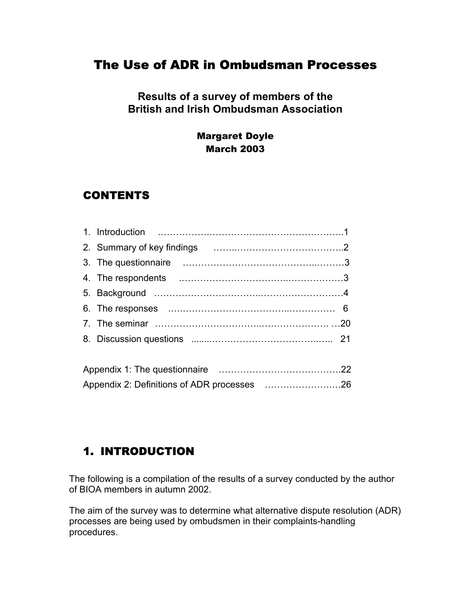## The Use of ADR in Ombudsman Processes

## **Results of a survey of members of the British and Irish Ombudsman Association**

## Margaret Doyle March 2003

## CONTENTS

Appendix 2: Definitions of ADR processes ………………….…26

## 1. INTRODUCTION

The following is a compilation of the results of a survey conducted by the author of BIOA members in autumn 2002.

The aim of the survey was to determine what alternative dispute resolution (ADR) processes are being used by ombudsmen in their complaints-handling procedures.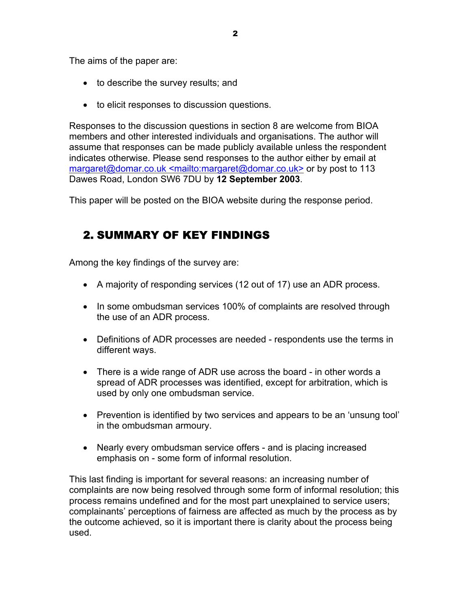The aims of the paper are:

- to describe the survey results; and
- to elicit responses to discussion questions.

Responses to the discussion questions in section 8 are welcome from BIOA members and other interested individuals and organisations. The author will assume that responses can be made publicly available unless the respondent indicates otherwise. Please send responses to the author either by email at margaret@domar.co.uk <mailto:margaret@domar.co.uk> or by post to 113 Dawes Road, London SW6 7DU by **12 September 2003**.

This paper will be posted on the BIOA website during the response period.

## 2. SUMMARY OF KEY FINDINGS

Among the key findings of the survey are:

- A majority of responding services (12 out of 17) use an ADR process.
- In some ombudsman services 100% of complaints are resolved through the use of an ADR process.
- Definitions of ADR processes are needed respondents use the terms in different ways.
- There is a wide range of ADR use across the board in other words a spread of ADR processes was identified, except for arbitration, which is used by only one ombudsman service.
- Prevention is identified by two services and appears to be an 'unsung tool' in the ombudsman armoury.
- Nearly every ombudsman service offers and is placing increased emphasis on - some form of informal resolution.

This last finding is important for several reasons: an increasing number of complaints are now being resolved through some form of informal resolution; this process remains undefined and for the most part unexplained to service users; complainants' perceptions of fairness are affected as much by the process as by the outcome achieved, so it is important there is clarity about the process being used.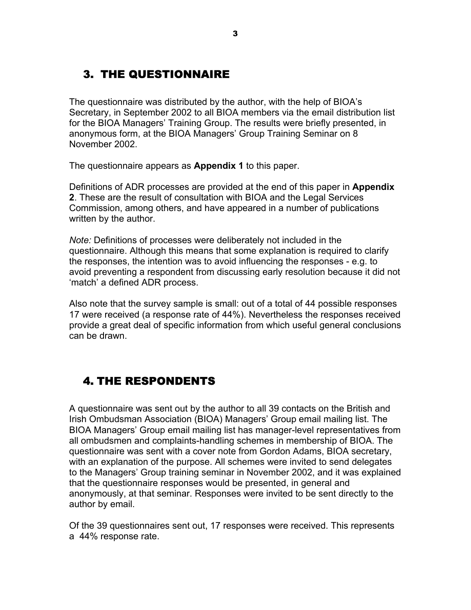# 3. THE QUESTIONNAIRE

The questionnaire was distributed by the author, with the help of BIOA's Secretary, in September 2002 to all BIOA members via the email distribution list for the BIOA Managers' Training Group. The results were briefly presented, in anonymous form, at the BIOA Managers' Group Training Seminar on 8 November 2002.

The questionnaire appears as **Appendix 1** to this paper.

Definitions of ADR processes are provided at the end of this paper in **Appendix 2**. These are the result of consultation with BIOA and the Legal Services Commission, among others, and have appeared in a number of publications written by the author.

*Note:* Definitions of processes were deliberately not included in the questionnaire. Although this means that some explanation is required to clarify the responses, the intention was to avoid influencing the responses - e.g. to avoid preventing a respondent from discussing early resolution because it did not 'match' a defined ADR process.

Also note that the survey sample is small: out of a total of 44 possible responses 17 were received (a response rate of 44%). Nevertheless the responses received provide a great deal of specific information from which useful general conclusions can be drawn.

## 4. THE RESPONDENTS

A questionnaire was sent out by the author to all 39 contacts on the British and Irish Ombudsman Association (BIOA) Managers' Group email mailing list. The BIOA Managers' Group email mailing list has manager-level representatives from all ombudsmen and complaints-handling schemes in membership of BIOA. The questionnaire was sent with a cover note from Gordon Adams, BIOA secretary, with an explanation of the purpose. All schemes were invited to send delegates to the Managers' Group training seminar in November 2002, and it was explained that the questionnaire responses would be presented, in general and anonymously, at that seminar. Responses were invited to be sent directly to the author by email.

Of the 39 questionnaires sent out, 17 responses were received. This represents a 44% response rate.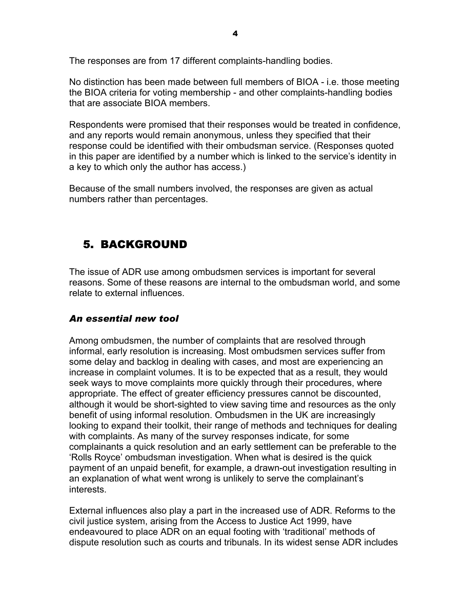The responses are from 17 different complaints-handling bodies.

No distinction has been made between full members of BIOA - i.e. those meeting the BIOA criteria for voting membership - and other complaints-handling bodies that are associate BIOA members.

Respondents were promised that their responses would be treated in confidence, and any reports would remain anonymous, unless they specified that their response could be identified with their ombudsman service. (Responses quoted in this paper are identified by a number which is linked to the service's identity in a key to which only the author has access.)

Because of the small numbers involved, the responses are given as actual numbers rather than percentages.

## 5. BACKGROUND

The issue of ADR use among ombudsmen services is important for several reasons. Some of these reasons are internal to the ombudsman world, and some relate to external influences.

### *An essential new tool*

Among ombudsmen, the number of complaints that are resolved through informal, early resolution is increasing. Most ombudsmen services suffer from some delay and backlog in dealing with cases, and most are experiencing an increase in complaint volumes. It is to be expected that as a result, they would seek ways to move complaints more quickly through their procedures, where appropriate. The effect of greater efficiency pressures cannot be discounted, although it would be short-sighted to view saving time and resources as the only benefit of using informal resolution. Ombudsmen in the UK are increasingly looking to expand their toolkit, their range of methods and techniques for dealing with complaints. As many of the survey responses indicate, for some complainants a quick resolution and an early settlement can be preferable to the 'Rolls Royce' ombudsman investigation. When what is desired is the quick payment of an unpaid benefit, for example, a drawn-out investigation resulting in an explanation of what went wrong is unlikely to serve the complainant's interests.

External influences also play a part in the increased use of ADR. Reforms to the civil justice system, arising from the Access to Justice Act 1999, have endeavoured to place ADR on an equal footing with 'traditional' methods of dispute resolution such as courts and tribunals. In its widest sense ADR includes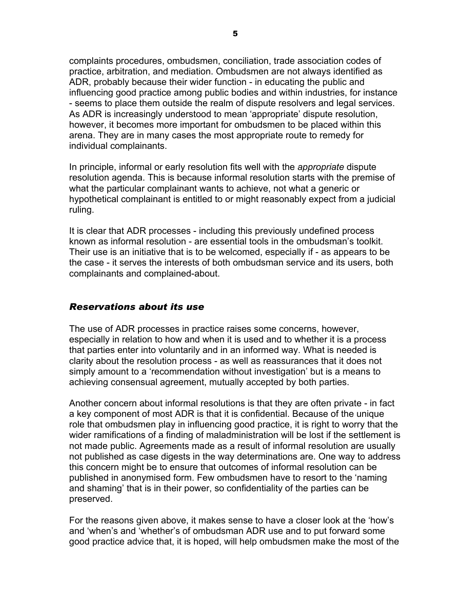complaints procedures, ombudsmen, conciliation, trade association codes of practice, arbitration, and mediation. Ombudsmen are not always identified as ADR, probably because their wider function - in educating the public and influencing good practice among public bodies and within industries, for instance - seems to place them outside the realm of dispute resolvers and legal services. As ADR is increasingly understood to mean 'appropriate' dispute resolution, however, it becomes more important for ombudsmen to be placed within this arena. They are in many cases the most appropriate route to remedy for individual complainants.

In principle, informal or early resolution fits well with the *appropriate* dispute resolution agenda. This is because informal resolution starts with the premise of what the particular complainant wants to achieve, not what a generic or hypothetical complainant is entitled to or might reasonably expect from a judicial ruling.

It is clear that ADR processes - including this previously undefined process known as informal resolution - are essential tools in the ombudsman's toolkit. Their use is an initiative that is to be welcomed, especially if - as appears to be the case - it serves the interests of both ombudsman service and its users, both complainants and complained-about.

### *Reservations about its use*

The use of ADR processes in practice raises some concerns, however, especially in relation to how and when it is used and to whether it is a process that parties enter into voluntarily and in an informed way. What is needed is clarity about the resolution process - as well as reassurances that it does not simply amount to a 'recommendation without investigation' but is a means to achieving consensual agreement, mutually accepted by both parties.

Another concern about informal resolutions is that they are often private - in fact a key component of most ADR is that it is confidential. Because of the unique role that ombudsmen play in influencing good practice, it is right to worry that the wider ramifications of a finding of maladministration will be lost if the settlement is not made public. Agreements made as a result of informal resolution are usually not published as case digests in the way determinations are. One way to address this concern might be to ensure that outcomes of informal resolution can be published in anonymised form. Few ombudsmen have to resort to the 'naming and shaming' that is in their power, so confidentiality of the parties can be preserved.

For the reasons given above, it makes sense to have a closer look at the 'how's and 'when's and 'whether's of ombudsman ADR use and to put forward some good practice advice that, it is hoped, will help ombudsmen make the most of the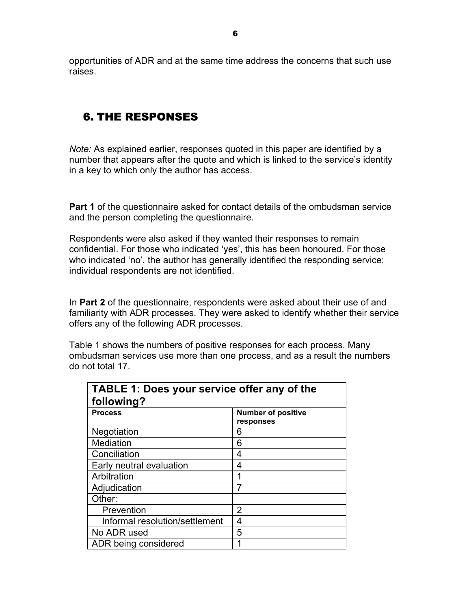opportunities of ADR and at the same time address the concerns that such use raises.

## 6. THE RESPONSES

*Note:* As explained earlier, responses quoted in this paper are identified by a number that appears after the quote and which is linked to the service's identity in a key to which only the author has access.

**Part 1** of the questionnaire asked for contact details of the ombudsman service and the person completing the questionnaire.

Respondents were also asked if they wanted their responses to remain confidential. For those who indicated 'yes', this has been honoured. For those who indicated 'no', the author has generally identified the responding service; individual respondents are not identified.

In **Part 2** of the questionnaire, respondents were asked about their use of and familiarity with ADR processes. They were asked to identify whether their service offers any of the following ADR processes.

Table 1 shows the numbers of positive responses for each process. Many ombudsman services use more than one process, and as a result the numbers do not total 17.

| TABLE 1: Does your service offer any of the<br>following? |                                        |  |  |  |
|-----------------------------------------------------------|----------------------------------------|--|--|--|
| <b>Process</b>                                            | <b>Number of positive</b><br>responses |  |  |  |
| Negotiation                                               | 6                                      |  |  |  |
| Mediation                                                 | 6                                      |  |  |  |
| Conciliation                                              | 4                                      |  |  |  |
| Early neutral evaluation                                  | 4                                      |  |  |  |
| Arbitration                                               |                                        |  |  |  |
| Adjudication                                              | 7                                      |  |  |  |
| Other:                                                    |                                        |  |  |  |
| Prevention                                                | 2                                      |  |  |  |
| Informal resolution/settlement                            | 4                                      |  |  |  |
| No ADR used                                               | 5                                      |  |  |  |
| ADR being considered                                      |                                        |  |  |  |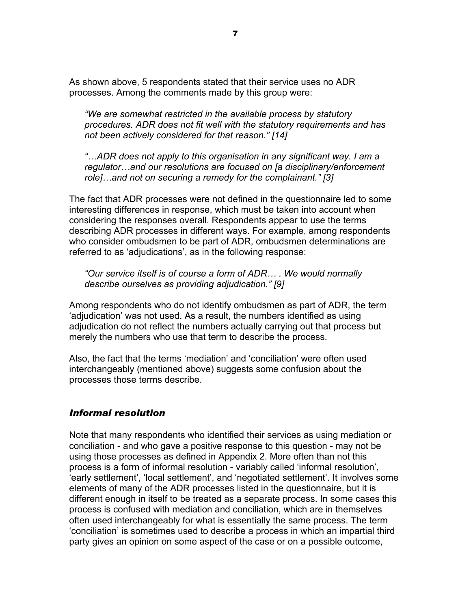As shown above, 5 respondents stated that their service uses no ADR processes. Among the comments made by this group were:

*"We are somewhat restricted in the available process by statutory procedures. ADR does not fit well with the statutory requirements and has not been actively considered for that reason." [14]* 

*"…ADR does not apply to this organisation in any significant way. I am a regulator…and our resolutions are focused on [a disciplinary/enforcement role]…and not on securing a remedy for the complainant." [3]* 

The fact that ADR processes were not defined in the questionnaire led to some interesting differences in response, which must be taken into account when considering the responses overall. Respondents appear to use the terms describing ADR processes in different ways. For example, among respondents who consider ombudsmen to be part of ADR, ombudsmen determinations are referred to as 'adjudications', as in the following response:

*"Our service itself is of course a form of ADR… . We would normally describe ourselves as providing adjudication." [9]* 

Among respondents who do not identify ombudsmen as part of ADR, the term 'adjudication' was not used. As a result, the numbers identified as using adjudication do not reflect the numbers actually carrying out that process but merely the numbers who use that term to describe the process.

Also, the fact that the terms 'mediation' and 'conciliation' were often used interchangeably (mentioned above) suggests some confusion about the processes those terms describe.

### *Informal resolution*

Note that many respondents who identified their services as using mediation or conciliation - and who gave a positive response to this question - may not be using those processes as defined in Appendix 2. More often than not this process is a form of informal resolution - variably called 'informal resolution', 'early settlement', 'local settlement', and 'negotiated settlement'. It involves some elements of many of the ADR processes listed in the questionnaire, but it is different enough in itself to be treated as a separate process. In some cases this process is confused with mediation and conciliation, which are in themselves often used interchangeably for what is essentially the same process. The term 'conciliation' is sometimes used to describe a process in which an impartial third party gives an opinion on some aspect of the case or on a possible outcome,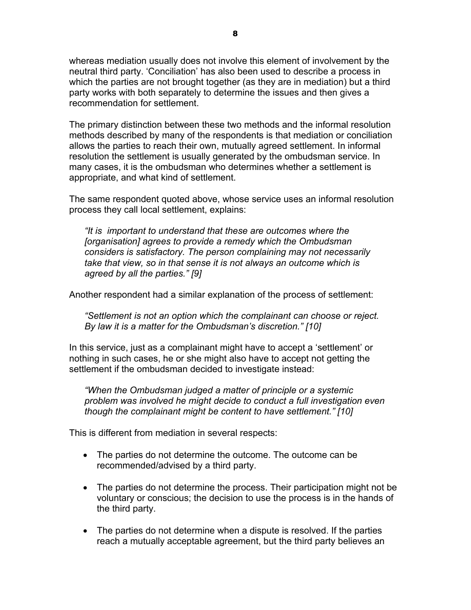whereas mediation usually does not involve this element of involvement by the neutral third party. 'Conciliation' has also been used to describe a process in which the parties are not brought together (as they are in mediation) but a third party works with both separately to determine the issues and then gives a recommendation for settlement.

The primary distinction between these two methods and the informal resolution methods described by many of the respondents is that mediation or conciliation allows the parties to reach their own, mutually agreed settlement. In informal resolution the settlement is usually generated by the ombudsman service. In many cases, it is the ombudsman who determines whether a settlement is appropriate, and what kind of settlement.

The same respondent quoted above, whose service uses an informal resolution process they call local settlement, explains:

*"It is important to understand that these are outcomes where the [organisation] agrees to provide a remedy which the Ombudsman considers is satisfactory. The person complaining may not necessarily take that view, so in that sense it is not always an outcome which is agreed by all the parties." [9]* 

Another respondent had a similar explanation of the process of settlement:

*"Settlement is not an option which the complainant can choose or reject. By law it is a matter for the Ombudsman's discretion." [10]* 

In this service, just as a complainant might have to accept a 'settlement' or nothing in such cases, he or she might also have to accept not getting the settlement if the ombudsman decided to investigate instead:

*"When the Ombudsman judged a matter of principle or a systemic problem was involved he might decide to conduct a full investigation even though the complainant might be content to have settlement." [10]* 

This is different from mediation in several respects:

- The parties do not determine the outcome. The outcome can be recommended/advised by a third party.
- The parties do not determine the process. Their participation might not be voluntary or conscious; the decision to use the process is in the hands of the third party.
- The parties do not determine when a dispute is resolved. If the parties reach a mutually acceptable agreement, but the third party believes an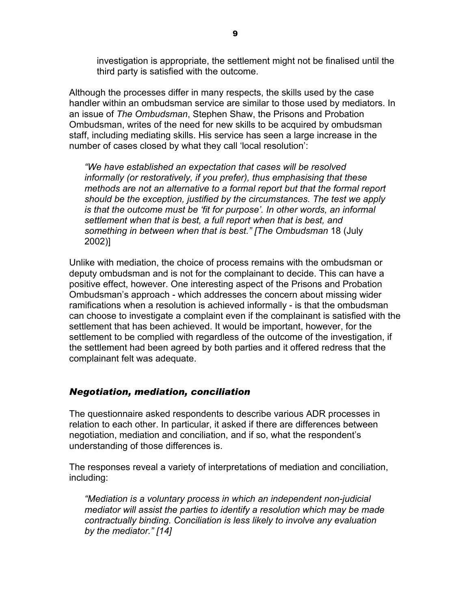investigation is appropriate, the settlement might not be finalised until the third party is satisfied with the outcome.

Although the processes differ in many respects, the skills used by the case handler within an ombudsman service are similar to those used by mediators. In an issue of *The Ombudsman*, Stephen Shaw, the Prisons and Probation Ombudsman, writes of the need for new skills to be acquired by ombudsman staff, including mediating skills. His service has seen a large increase in the number of cases closed by what they call 'local resolution':

*"We have established an expectation that cases will be resolved informally (or restoratively, if you prefer), thus emphasising that these methods are not an alternative to a formal report but that the formal report should be the exception, justified by the circumstances. The test we apply is that the outcome must be 'fit for purpose'. In other words, an informal settlement when that is best, a full report when that is best, and something in between when that is best." [The Ombudsman* 18 (July 2002)]

Unlike with mediation, the choice of process remains with the ombudsman or deputy ombudsman and is not for the complainant to decide. This can have a positive effect, however. One interesting aspect of the Prisons and Probation Ombudsman's approach - which addresses the concern about missing wider ramifications when a resolution is achieved informally - is that the ombudsman can choose to investigate a complaint even if the complainant is satisfied with the settlement that has been achieved. It would be important, however, for the settlement to be complied with regardless of the outcome of the investigation, if the settlement had been agreed by both parties and it offered redress that the complainant felt was adequate.

### *Negotiation, mediation, conciliation*

The questionnaire asked respondents to describe various ADR processes in relation to each other. In particular, it asked if there are differences between negotiation, mediation and conciliation, and if so, what the respondent's understanding of those differences is.

The responses reveal a variety of interpretations of mediation and conciliation, including:

*"Mediation is a voluntary process in which an independent non-judicial mediator will assist the parties to identify a resolution which may be made contractually binding. Conciliation is less likely to involve any evaluation by the mediator." [14]*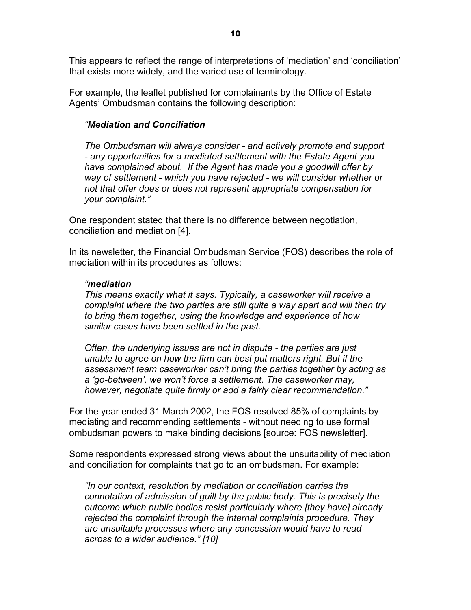This appears to reflect the range of interpretations of 'mediation' and 'conciliation' that exists more widely, and the varied use of terminology.

For example, the leaflet published for complainants by the Office of Estate Agents' Ombudsman contains the following description:

#### *"Mediation and Conciliation*

*The Ombudsman will always consider - and actively promote and support - any opportunities for a mediated settlement with the Estate Agent you have complained about. If the Agent has made you a goodwill offer by way of settlement - which you have rejected - we will consider whether or not that offer does or does not represent appropriate compensation for your complaint."* 

One respondent stated that there is no difference between negotiation, conciliation and mediation [4].

In its newsletter, the Financial Ombudsman Service (FOS) describes the role of mediation within its procedures as follows:

#### *"mediation*

*This means exactly what it says. Typically, a caseworker will receive a complaint where the two parties are still quite a way apart and will then try to bring them together, using the knowledge and experience of how similar cases have been settled in the past.* 

*Often, the underlying issues are not in dispute - the parties are just unable to agree on how the firm can best put matters right. But if the assessment team caseworker can't bring the parties together by acting as a 'go-between', we won't force a settlement. The caseworker may, however, negotiate quite firmly or add a fairly clear recommendation."* 

For the year ended 31 March 2002, the FOS resolved 85% of complaints by mediating and recommending settlements - without needing to use formal ombudsman powers to make binding decisions [source: FOS newsletter].

Some respondents expressed strong views about the unsuitability of mediation and conciliation for complaints that go to an ombudsman. For example:

*"In our context, resolution by mediation or conciliation carries the connotation of admission of guilt by the public body. This is precisely the outcome which public bodies resist particularly where [they have] already rejected the complaint through the internal complaints procedure. They are unsuitable processes where any concession would have to read across to a wider audience." [10]*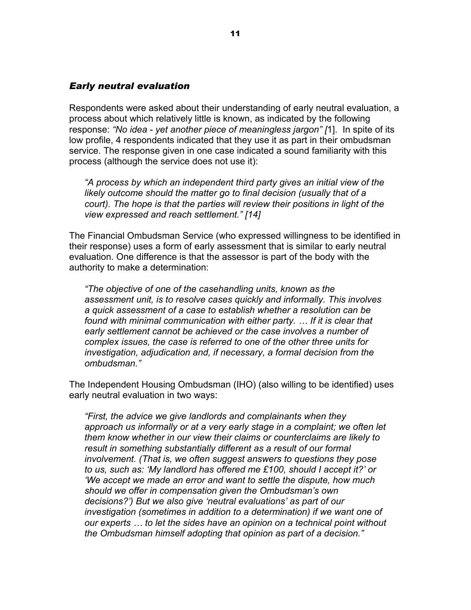#### *Early neutral evaluation*

Respondents were asked about their understanding of early neutral evaluation, a process about which relatively little is known, as indicated by the following response: *"No idea - yet another piece of meaningless jargon" [*1]. In spite of its low profile, 4 respondents indicated that they use it as part in their ombudsman service. The response given in one case indicated a sound familiarity with this process (although the service does not use it):

*"A process by which an independent third party gives an initial view of the likely outcome should the matter go to final decision (usually that of a court). The hope is that the parties will review their positions in light of the view expressed and reach settlement." [14]* 

The Financial Ombudsman Service (who expressed willingness to be identified in their response) uses a form of early assessment that is similar to early neutral evaluation. One difference is that the assessor is part of the body with the authority to make a determination:

*"The objective of one of the casehandling units, known as the assessment unit, is to resolve cases quickly and informally. This involves a quick assessment of a case to establish whether a resolution can be found with minimal communication with either party. … If it is clear that early settlement cannot be achieved or the case involves a number of complex issues, the case is referred to one of the other three units for investigation, adjudication and, if necessary, a formal decision from the ombudsman."* 

The Independent Housing Ombudsman (IHO) (also willing to be identified) uses early neutral evaluation in two ways:

*"First, the advice we give landlords and complainants when they approach us informally or at a very early stage in a complaint; we often let them know whether in our view their claims or counterclaims are likely to result in something substantially different as a result of our formal involvement. (That is, we often suggest answers to questions they pose to us, such as: 'My landlord has offered me £100, should I accept it?' or 'We accept we made an error and want to settle the dispute, how much should we offer in compensation given the Ombudsman's own decisions?') But we also give 'neutral evaluations' as part of our investigation (sometimes in addition to a determination) if we want one of our experts … to let the sides have an opinion on a technical point without the Ombudsman himself adopting that opinion as part of a decision."*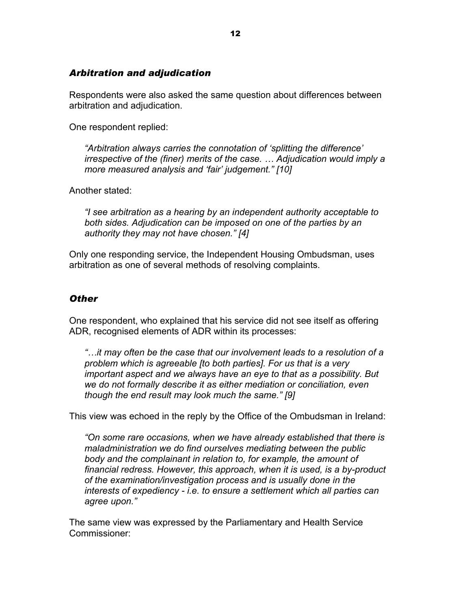### *Arbitration and adjudication*

Respondents were also asked the same question about differences between arbitration and adjudication.

One respondent replied:

*"Arbitration always carries the connotation of 'splitting the difference' irrespective of the (finer) merits of the case. … Adjudication would imply a more measured analysis and 'fair' judgement." [10]* 

Another stated:

*"I see arbitration as a hearing by an independent authority acceptable to both sides. Adjudication can be imposed on one of the parties by an authority they may not have chosen." [4]* 

Only one responding service, the Independent Housing Ombudsman, uses arbitration as one of several methods of resolving complaints.

#### *Other*

One respondent, who explained that his service did not see itself as offering ADR, recognised elements of ADR within its processes:

*"…it may often be the case that our involvement leads to a resolution of a problem which is agreeable [to both parties]. For us that is a very important aspect and we always have an eye to that as a possibility. But we do not formally describe it as either mediation or conciliation, even though the end result may look much the same." [9]* 

This view was echoed in the reply by the Office of the Ombudsman in Ireland:

*"On some rare occasions, when we have already established that there is maladministration we do find ourselves mediating between the public body and the complainant in relation to, for example, the amount of financial redress. However, this approach, when it is used, is a by-product of the examination/investigation process and is usually done in the interests of expediency - i.e. to ensure a settlement which all parties can agree upon."* 

The same view was expressed by the Parliamentary and Health Service Commissioner: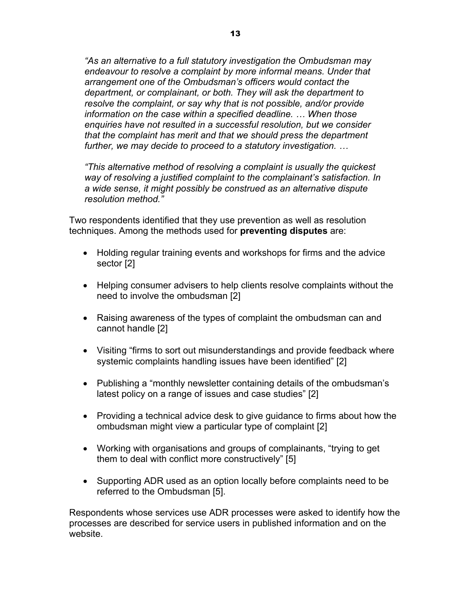*"As an alternative to a full statutory investigation the Ombudsman may endeavour to resolve a complaint by more informal means. Under that arrangement one of the Ombudsman's officers would contact the department, or complainant, or both. They will ask the department to resolve the complaint, or say why that is not possible, and/or provide information on the case within a specified deadline. … When those enquiries have not resulted in a successful resolution, but we consider that the complaint has merit and that we should press the department further, we may decide to proceed to a statutory investigation. …* 

*"This alternative method of resolving a complaint is usually the quickest way of resolving a justified complaint to the complainant's satisfaction. In a wide sense, it might possibly be construed as an alternative dispute resolution method."* 

Two respondents identified that they use prevention as well as resolution techniques. Among the methods used for **preventing disputes** are:

- Holding regular training events and workshops for firms and the advice sector [2]
- Helping consumer advisers to help clients resolve complaints without the need to involve the ombudsman [2]
- Raising awareness of the types of complaint the ombudsman can and cannot handle [2]
- Visiting "firms to sort out misunderstandings and provide feedback where systemic complaints handling issues have been identified" [2]
- Publishing a "monthly newsletter containing details of the ombudsman's latest policy on a range of issues and case studies" [2]
- Providing a technical advice desk to give guidance to firms about how the ombudsman might view a particular type of complaint [2]
- Working with organisations and groups of complainants, "trying to get them to deal with conflict more constructively" [5]
- Supporting ADR used as an option locally before complaints need to be referred to the Ombudsman [5].

Respondents whose services use ADR processes were asked to identify how the processes are described for service users in published information and on the website.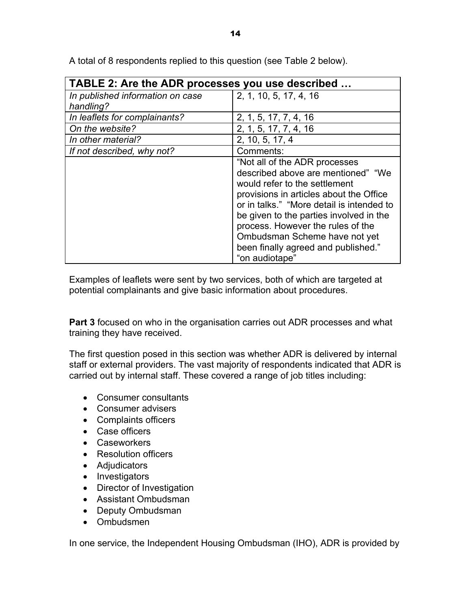| TABLE 2: Are the ADR processes you use described |                                           |  |  |  |
|--------------------------------------------------|-------------------------------------------|--|--|--|
| In published information on case                 | 2, 1, 10, 5, 17, 4, 16                    |  |  |  |
| handling?                                        |                                           |  |  |  |
| In leaflets for complainants?                    | 2, 1, 5, 17, 7, 4, 16                     |  |  |  |
| On the website?                                  | 2, 1, 5, 17, 7, 4, 16                     |  |  |  |
| In other material?                               | 2, 10, 5, 17, 4                           |  |  |  |
| If not described, why not?                       | Comments:                                 |  |  |  |
|                                                  | "Not all of the ADR processes             |  |  |  |
|                                                  | described above are mentioned" "We        |  |  |  |
|                                                  | would refer to the settlement             |  |  |  |
|                                                  | provisions in articles about the Office   |  |  |  |
|                                                  | or in talks." "More detail is intended to |  |  |  |
|                                                  | be given to the parties involved in the   |  |  |  |
|                                                  | process. However the rules of the         |  |  |  |
|                                                  | Ombudsman Scheme have not yet             |  |  |  |
|                                                  | been finally agreed and published."       |  |  |  |
|                                                  | "on audiotape"                            |  |  |  |

A total of 8 respondents replied to this question (see Table 2 below).

Examples of leaflets were sent by two services, both of which are targeted at potential complainants and give basic information about procedures.

**Part 3** focused on who in the organisation carries out ADR processes and what training they have received.

The first question posed in this section was whether ADR is delivered by internal staff or external providers. The vast majority of respondents indicated that ADR is carried out by internal staff. These covered a range of job titles including:

- Consumer consultants
- Consumer advisers
- Complaints officers
- Case officers
- Caseworkers
- Resolution officers
- Adjudicators
- Investigators
- Director of Investigation
- Assistant Ombudsman
- Deputy Ombudsman
- Ombudsmen

In one service, the Independent Housing Ombudsman (IHO), ADR is provided by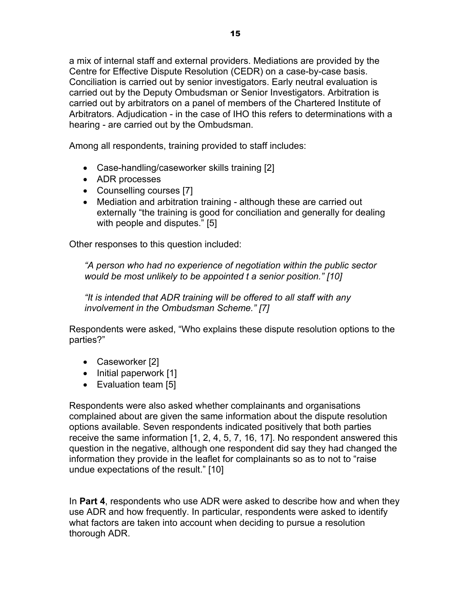a mix of internal staff and external providers. Mediations are provided by the Centre for Effective Dispute Resolution (CEDR) on a case-by-case basis. Conciliation is carried out by senior investigators. Early neutral evaluation is carried out by the Deputy Ombudsman or Senior Investigators. Arbitration is carried out by arbitrators on a panel of members of the Chartered Institute of Arbitrators. Adjudication - in the case of IHO this refers to determinations with a hearing - are carried out by the Ombudsman.

Among all respondents, training provided to staff includes:

- Case-handling/caseworker skills training [2]
- ADR processes
- Counselling courses [7]
- Mediation and arbitration training although these are carried out externally "the training is good for conciliation and generally for dealing with people and disputes." [5]

Other responses to this question included:

*"A person who had no experience of negotiation within the public sector would be most unlikely to be appointed t a senior position." [10]* 

*"It is intended that ADR training will be offered to all staff with any involvement in the Ombudsman Scheme." [7]* 

Respondents were asked, "Who explains these dispute resolution options to the parties?"

- Caseworker [2]
- Initial paperwork [1]
- Evaluation team [5]

Respondents were also asked whether complainants and organisations complained about are given the same information about the dispute resolution options available. Seven respondents indicated positively that both parties receive the same information [1, 2, 4, 5, 7, 16, 17]. No respondent answered this question in the negative, although one respondent did say they had changed the information they provide in the leaflet for complainants so as to not to "raise undue expectations of the result." [10]

In **Part 4**, respondents who use ADR were asked to describe how and when they use ADR and how frequently. In particular, respondents were asked to identify what factors are taken into account when deciding to pursue a resolution thorough ADR.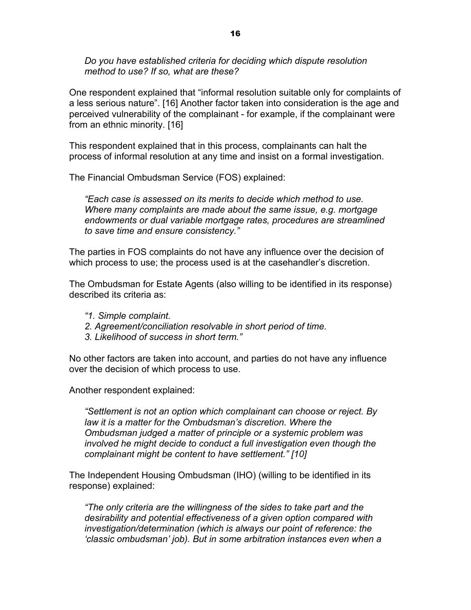*Do you have established criteria for deciding which dispute resolution method to use? If so, what are these?* 

One respondent explained that "informal resolution suitable only for complaints of a less serious nature". [16] Another factor taken into consideration is the age and perceived vulnerability of the complainant - for example, if the complainant were from an ethnic minority. [16]

This respondent explained that in this process, complainants can halt the process of informal resolution at any time and insist on a formal investigation.

The Financial Ombudsman Service (FOS) explained:

*"Each case is assessed on its merits to decide which method to use. Where many complaints are made about the same issue, e.g. mortgage endowments or dual variable mortgage rates, procedures are streamlined to save time and ensure consistency."* 

The parties in FOS complaints do not have any influence over the decision of which process to use; the process used is at the casehandler's discretion.

The Ombudsman for Estate Agents (also willing to be identified in its response) described its criteria as:

- *"1. Simple complaint.*
- *2. Agreement/conciliation resolvable in short period of time.*
- *3. Likelihood of success in short term."*

No other factors are taken into account, and parties do not have any influence over the decision of which process to use.

Another respondent explained:

*"Settlement is not an option which complainant can choose or reject. By law it is a matter for the Ombudsman's discretion. Where the Ombudsman judged a matter of principle or a systemic problem was involved he might decide to conduct a full investigation even though the complainant might be content to have settlement." [10]* 

The Independent Housing Ombudsman (IHO) (willing to be identified in its response) explained:

*"The only criteria are the willingness of the sides to take part and the desirability and potential effectiveness of a given option compared with investigation/determination (which is always our point of reference: the 'classic ombudsman' job). But in some arbitration instances even when a*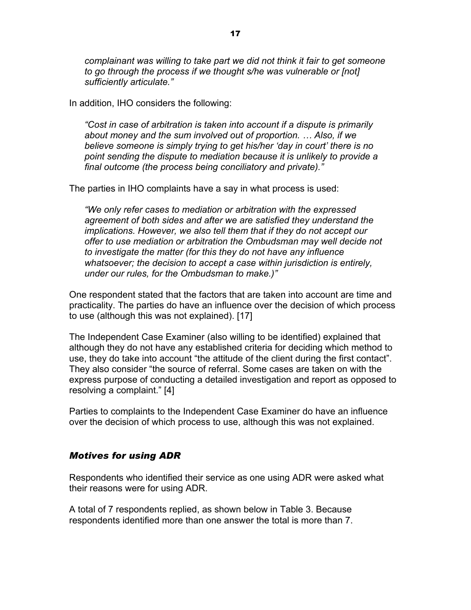*complainant was willing to take part we did not think it fair to get someone to go through the process if we thought s/he was vulnerable or [not] sufficiently articulate."* 

In addition, IHO considers the following:

*"Cost in case of arbitration is taken into account if a dispute is primarily about money and the sum involved out of proportion. … Also, if we believe someone is simply trying to get his/her 'day in court' there is no point sending the dispute to mediation because it is unlikely to provide a final outcome (the process being conciliatory and private)."* 

The parties in IHO complaints have a say in what process is used:

*"We only refer cases to mediation or arbitration with the expressed agreement of both sides and after we are satisfied they understand the implications. However, we also tell them that if they do not accept our offer to use mediation or arbitration the Ombudsman may well decide not to investigate the matter (for this they do not have any influence whatsoever; the decision to accept a case within jurisdiction is entirely, under our rules, for the Ombudsman to make.)"* 

One respondent stated that the factors that are taken into account are time and practicality. The parties do have an influence over the decision of which process to use (although this was not explained). [17]

The Independent Case Examiner (also willing to be identified) explained that although they do not have any established criteria for deciding which method to use, they do take into account "the attitude of the client during the first contact". They also consider "the source of referral. Some cases are taken on with the express purpose of conducting a detailed investigation and report as opposed to resolving a complaint." [4]

Parties to complaints to the Independent Case Examiner do have an influence over the decision of which process to use, although this was not explained.

#### *Motives for using ADR*

Respondents who identified their service as one using ADR were asked what their reasons were for using ADR.

A total of 7 respondents replied, as shown below in Table 3. Because respondents identified more than one answer the total is more than 7.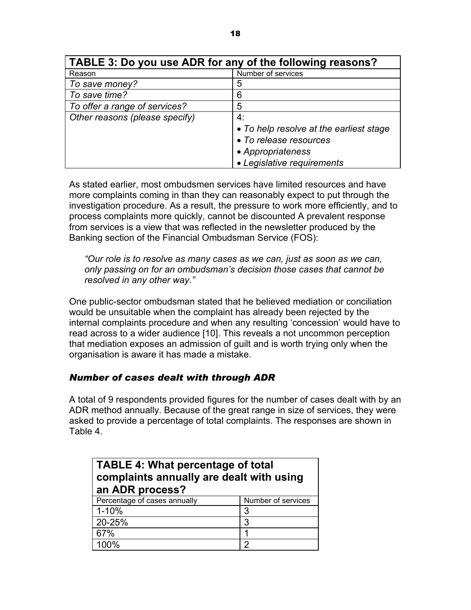| TABLE 3: Do you use ADR for any of the following reasons? |                                         |  |  |  |
|-----------------------------------------------------------|-----------------------------------------|--|--|--|
| Reason                                                    | Number of services                      |  |  |  |
| To save money?                                            | 5                                       |  |  |  |
| To save time?                                             | 6                                       |  |  |  |
| To offer a range of services?                             | 5                                       |  |  |  |
| Other reasons (please specify)                            | 4:                                      |  |  |  |
|                                                           | • To help resolve at the earliest stage |  |  |  |
|                                                           | • To release resources                  |  |  |  |
|                                                           | • Appropriateness                       |  |  |  |
|                                                           | • Legislative requirements              |  |  |  |

As stated earlier, most ombudsmen services have limited resources and have more complaints coming in than they can reasonably expect to put through the investigation procedure. As a result, the pressure to work more efficiently, and to process complaints more quickly, cannot be discounted A prevalent response from services is a view that was reflected in the newsletter produced by the Banking section of the Financial Ombudsman Service (FOS):

*"Our role is to resolve as many cases as we can, just as soon as we can, only passing on for an ombudsman's decision those cases that cannot be resolved in any other way."* 

One public-sector ombudsman stated that he believed mediation or conciliation would be unsuitable when the complaint has already been rejected by the internal complaints procedure and when any resulting 'concession' would have to read across to a wider audience [10]. This reveals a not uncommon perception that mediation exposes an admission of guilt and is worth trying only when the organisation is aware it has made a mistake.

## *Number of cases dealt with through ADR*

A total of 9 respondents provided figures for the number of cases dealt with by an ADR method annually. Because of the great range in size of services, they were asked to provide a percentage of total complaints. The responses are shown in Table 4.

| <b>TABLE 4: What percentage of total</b> |                    |  |  |  |
|------------------------------------------|--------------------|--|--|--|
| complaints annually are dealt with using |                    |  |  |  |
| an ADR process?                          |                    |  |  |  |
| Percentage of cases annually             | Number of services |  |  |  |
| $1 - 10%$                                | 3                  |  |  |  |
| 20-25%                                   | 3                  |  |  |  |
| 67%                                      | ◀                  |  |  |  |
| 100%                                     | າ                  |  |  |  |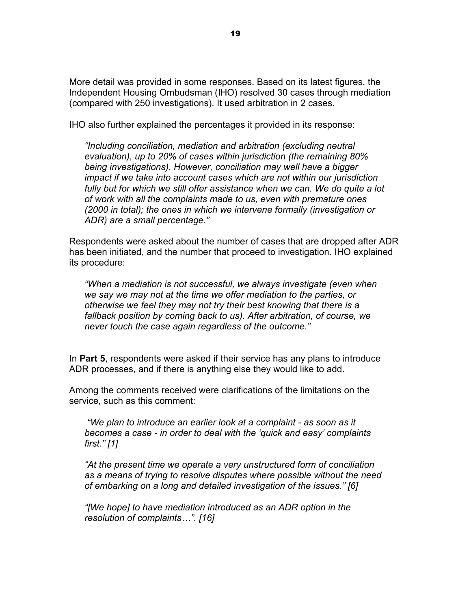More detail was provided in some responses. Based on its latest figures, the Independent Housing Ombudsman (IHO) resolved 30 cases through mediation (compared with 250 investigations). It used arbitration in 2 cases.

IHO also further explained the percentages it provided in its response:

*"Including conciliation, mediation and arbitration (excluding neutral evaluation), up to 20% of cases within jurisdiction (the remaining 80% being investigations). However, conciliation may well have a bigger impact if we take into account cases which are not within our jurisdiction fully but for which we still offer assistance when we can. We do quite a lot of work with all the complaints made to us, even with premature ones (2000 in total); the ones in which we intervene formally (investigation or ADR) are a small percentage."* 

Respondents were asked about the number of cases that are dropped after ADR has been initiated, and the number that proceed to investigation. IHO explained its procedure:

*"When a mediation is not successful, we always investigate (even when we say we may not at the time we offer mediation to the parties, or otherwise we feel they may not try their best knowing that there is a fallback position by coming back to us). After arbitration, of course, we never touch the case again regardless of the outcome."* 

In **Part 5**, respondents were asked if their service has any plans to introduce ADR processes, and if there is anything else they would like to add.

Among the comments received were clarifications of the limitations on the service, such as this comment:

 *"We plan to introduce an earlier look at a complaint - as soon as it becomes a case - in order to deal with the 'quick and easy' complaints first." [1]* 

*"At the present time we operate a very unstructured form of conciliation as a means of trying to resolve disputes where possible without the need of embarking on a long and detailed investigation of the issues." [6]* 

*"[We hope] to have mediation introduced as an ADR option in the resolution of complaints…". [16]*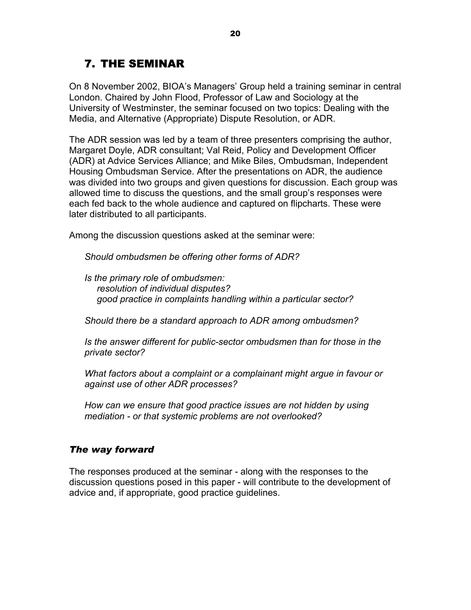## 7. THE SEMINAR

On 8 November 2002, BIOA's Managers' Group held a training seminar in central London. Chaired by John Flood, Professor of Law and Sociology at the University of Westminster, the seminar focused on two topics: Dealing with the Media, and Alternative (Appropriate) Dispute Resolution, or ADR.

The ADR session was led by a team of three presenters comprising the author, Margaret Doyle, ADR consultant; Val Reid, Policy and Development Officer (ADR) at Advice Services Alliance; and Mike Biles, Ombudsman, Independent Housing Ombudsman Service. After the presentations on ADR, the audience was divided into two groups and given questions for discussion. Each group was allowed time to discuss the questions, and the small group's responses were each fed back to the whole audience and captured on flipcharts. These were later distributed to all participants.

Among the discussion questions asked at the seminar were:

*Should ombudsmen be offering other forms of ADR?* 

*Is the primary role of ombudsmen: resolution of individual disputes? good practice in complaints handling within a particular sector?* 

*Should there be a standard approach to ADR among ombudsmen?* 

*Is the answer different for public-sector ombudsmen than for those in the private sector?* 

*What factors about a complaint or a complainant might argue in favour or against use of other ADR processes?* 

*How can we ensure that good practice issues are not hidden by using mediation - or that systemic problems are not overlooked?* 

### *The way forward*

The responses produced at the seminar - along with the responses to the discussion questions posed in this paper - will contribute to the development of advice and, if appropriate, good practice guidelines.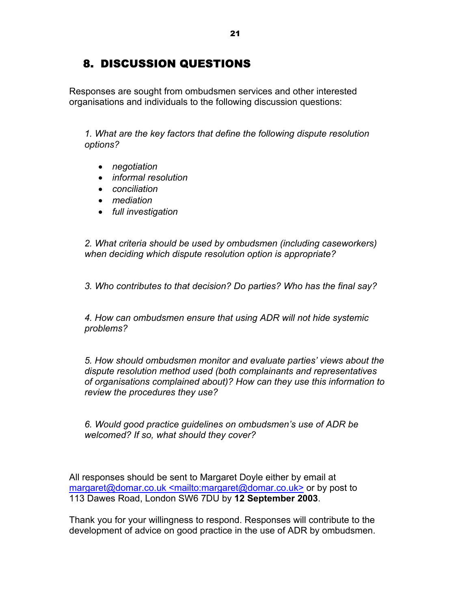## 8. DISCUSSION QUESTIONS

Responses are sought from ombudsmen services and other interested organisations and individuals to the following discussion questions:

*1. What are the key factors that define the following dispute resolution options?* 

- *negotiation*
- *informal resolution*
- *conciliation*
- *mediation*
- *full investigation*

*2. What criteria should be used by ombudsmen (including caseworkers) when deciding which dispute resolution option is appropriate?* 

*3. Who contributes to that decision? Do parties? Who has the final say?* 

*4. How can ombudsmen ensure that using ADR will not hide systemic problems?* 

*5. How should ombudsmen monitor and evaluate parties' views about the dispute resolution method used (both complainants and representatives of organisations complained about)? How can they use this information to review the procedures they use?* 

*6. Would good practice guidelines on ombudsmen's use of ADR be welcomed? If so, what should they cover?* 

All responses should be sent to Margaret Doyle either by email at margaret@domar.co.uk <mailto:margaret@domar.co.uk> or by post to 113 Dawes Road, London SW6 7DU by **12 September 2003**.

Thank you for your willingness to respond. Responses will contribute to the development of advice on good practice in the use of ADR by ombudsmen.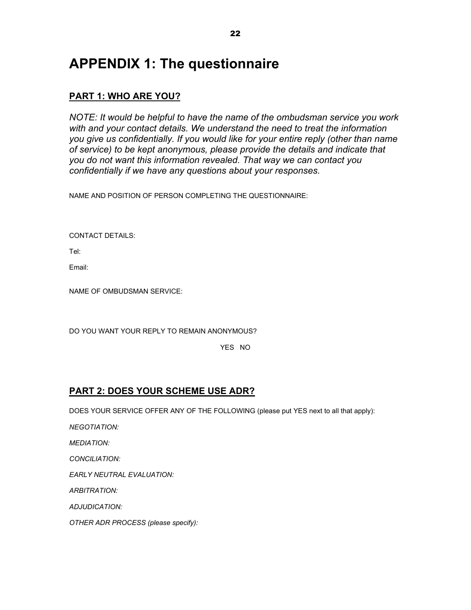# **APPENDIX 1: The questionnaire**

## **PART 1: WHO ARE YOU?**

*NOTE: It would be helpful to have the name of the ombudsman service you work with and your contact details. We understand the need to treat the information you give us confidentially. If you would like for your entire reply (other than name of service) to be kept anonymous, please provide the details and indicate that you do not want this information revealed. That way we can contact you confidentially if we have any questions about your responses.* 

NAME AND POSITION OF PERSON COMPLETING THE QUESTIONNAIRE:

CONTACT DETAILS:

Tel:

Email:

NAME OF OMBUDSMAN SERVICE:

DO YOU WANT YOUR REPLY TO REMAIN ANONYMOUS?

YES NO

## **PART 2: DOES YOUR SCHEME USE ADR?**

DOES YOUR SERVICE OFFER ANY OF THE FOLLOWING (please put YES next to all that apply):

*NEGOTIATION:* 

*MEDIATION:* 

*CONCILIATION:* 

*EARLY NEUTRAL EVALUATION:* 

*ARBITRATION:* 

*ADJUDICATION:* 

*OTHER ADR PROCESS (please specify):*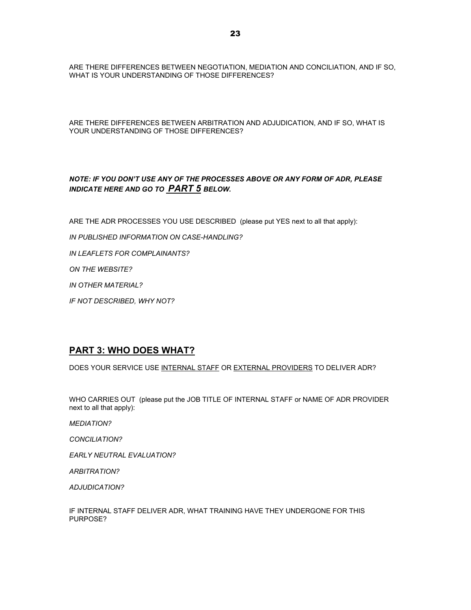ARE THERE DIFFERENCES BETWEEN NEGOTIATION, MEDIATION AND CONCILIATION, AND IF SO, WHAT IS YOUR UNDERSTANDING OF THOSE DIFFERENCES?

ARE THERE DIFFERENCES BETWEEN ARBITRATION AND ADJUDICATION, AND IF SO, WHAT IS YOUR UNDERSTANDING OF THOSE DIFFERENCES?

#### *NOTE: IF YOU DON'T USE ANY OF THE PROCESSES ABOVE OR ANY FORM OF ADR, PLEASE INDICATE HERE AND GO TO PART 5 BELOW.*

ARE THE ADR PROCESSES YOU USE DESCRIBED (please put YES next to all that apply):

*IN PUBLISHED INFORMATION ON CASE-HANDLING?* 

*IN LEAFLETS FOR COMPLAINANTS?* 

*ON THE WEBSITE?* 

*IN OTHER MATERIAL?* 

*IF NOT DESCRIBED, WHY NOT?* 

### **PART 3: WHO DOES WHAT?**

DOES YOUR SERVICE USE INTERNAL STAFF OR EXTERNAL PROVIDERS TO DELIVER ADR?

WHO CARRIES OUT (please put the JOB TITLE OF INTERNAL STAFF or NAME OF ADR PROVIDER next to all that apply):

*MEDIATION?* 

*CONCILIATION?* 

*EARLY NEUTRAL EVALUATION?* 

*ARBITRATION?* 

*ADJUDICATION?* 

IF INTERNAL STAFF DELIVER ADR, WHAT TRAINING HAVE THEY UNDERGONE FOR THIS PURPOSE?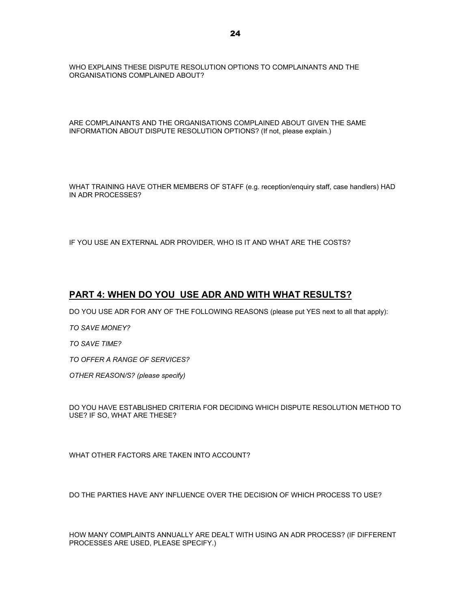WHO EXPLAINS THESE DISPUTE RESOLUTION OPTIONS TO COMPLAINANTS AND THE ORGANISATIONS COMPLAINED ABOUT?

ARE COMPLAINANTS AND THE ORGANISATIONS COMPLAINED ABOUT GIVEN THE SAME INFORMATION ABOUT DISPUTE RESOLUTION OPTIONS? (If not, please explain.)

WHAT TRAINING HAVE OTHER MEMBERS OF STAFF (e.g. reception/enquiry staff, case handlers) HAD IN ADR PROCESSES?

IF YOU USE AN EXTERNAL ADR PROVIDER, WHO IS IT AND WHAT ARE THE COSTS?

#### **PART 4: WHEN DO YOU USE ADR AND WITH WHAT RESULTS?**

DO YOU USE ADR FOR ANY OF THE FOLLOWING REASONS (please put YES next to all that apply):

*TO SAVE MONEY?* 

*TO SAVE TIME?* 

*TO OFFER A RANGE OF SERVICES?* 

*OTHER REASON/S? (please specify)* 

DO YOU HAVE ESTABLISHED CRITERIA FOR DECIDING WHICH DISPUTE RESOLUTION METHOD TO USE? IF SO, WHAT ARE THESE?

WHAT OTHER FACTORS ARE TAKEN INTO ACCOUNT?

DO THE PARTIES HAVE ANY INFLUENCE OVER THE DECISION OF WHICH PROCESS TO USE?

HOW MANY COMPLAINTS ANNUALLY ARE DEALT WITH USING AN ADR PROCESS? (IF DIFFERENT PROCESSES ARE USED, PLEASE SPECIFY.)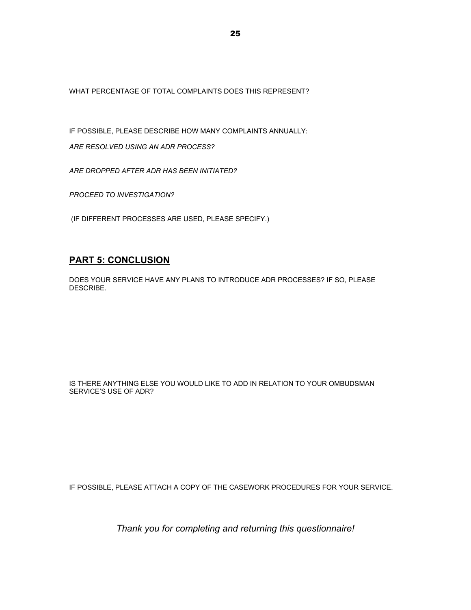WHAT PERCENTAGE OF TOTAL COMPLAINTS DOES THIS REPRESENT?

IF POSSIBLE, PLEASE DESCRIBE HOW MANY COMPLAINTS ANNUALLY:

*ARE RESOLVED USING AN ADR PROCESS?* 

*ARE DROPPED AFTER ADR HAS BEEN INITIATED?* 

*PROCEED TO INVESTIGATION?* 

(IF DIFFERENT PROCESSES ARE USED, PLEASE SPECIFY.)

### **PART 5: CONCLUSION**

DOES YOUR SERVICE HAVE ANY PLANS TO INTRODUCE ADR PROCESSES? IF SO, PLEASE DESCRIBE.

IS THERE ANYTHING ELSE YOU WOULD LIKE TO ADD IN RELATION TO YOUR OMBUDSMAN SERVICE'S USE OF ADR?

IF POSSIBLE, PLEASE ATTACH A COPY OF THE CASEWORK PROCEDURES FOR YOUR SERVICE.

*Thank you for completing and returning this questionnaire!*